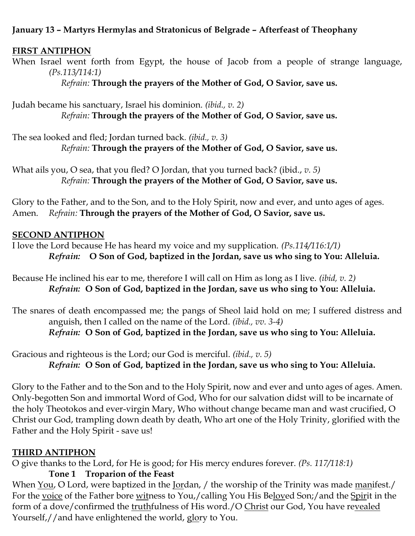## **January 13 – Martyrs Hermylas and Stratonicus of Belgrade – Afterfeast of Theophany**

#### **FIRST ANTIPHON**

When Israel went forth from Egypt, the house of Jacob from a people of strange language, *(Ps.113/114:1)*

*Refrain:* **Through the prayers of the Mother of God, O Savior, save us.**

Judah became his sanctuary, Israel his dominion. *(ibid., v. 2) Refrain:* **Through the prayers of the Mother of God, O Savior, save us.**

The sea looked and fled; Jordan turned back*. (ibid., v. 3) Refrain:* **Through the prayers of the Mother of God, O Savior, save us.**

What ails you, O sea, that you fled? O Jordan, that you turned back? (ibid., *v. 5) Refrain:* **Through the prayers of the Mother of God, O Savior, save us.**

Glory to the Father, and to the Son, and to the Holy Spirit, now and ever, and unto ages of ages. Amen. *Refrain:* **Through the prayers of the Mother of God, O Savior, save us.**

#### **SECOND ANTIPHON**

I love the Lord because He has heard my voice and my supplication. *(Ps.114/116:1/1) Refrain:* **O Son of God, baptized in the Jordan, save us who sing to You: Alleluia.**

Because He inclined his ear to me, therefore I will call on Him as long as I live. *(ibid, v. 2) Refrain:* **O Son of God, baptized in the Jordan, save us who sing to You: Alleluia.**

The snares of death encompassed me; the pangs of Sheol laid hold on me; I suffered distress and anguish, then I called on the name of the Lord. *(ibid., vv. 3-4) Refrain:* **O Son of God, baptized in the Jordan, save us who sing to You: Alleluia.**

Gracious and righteous is the Lord; our God is merciful. *(ibid., v. 5) Refrain:* **O Son of God, baptized in the Jordan, save us who sing to You: Alleluia.**

Glory to the Father and to the Son and to the Holy Spirit, now and ever and unto ages of ages. Amen. Only-begotten Son and immortal Word of God, Who for our salvation didst will to be incarnate of the holy Theotokos and ever-virgin Mary, Who without change became man and wast crucified, O Christ our God, trampling down death by death, Who art one of the Holy Trinity, glorified with the Father and the Holy Spirit - save us!

## **THIRD ANTIPHON**

O give thanks to the Lord, for He is good; for His mercy endures forever. *(Ps. 117/118:1)*

**Tone 1 Troparion of the Feast**

When You, O Lord, were baptized in the Jordan, / the worship of the Trinity was made manifest./ For the voice of the Father bore witness to You,/calling You His Beloved Son;/and the Spirit in the form of a dove/confirmed the truthfulness of His word./O Christ our God, You have revealed Yourself, // and have enlightened the world, glory to You.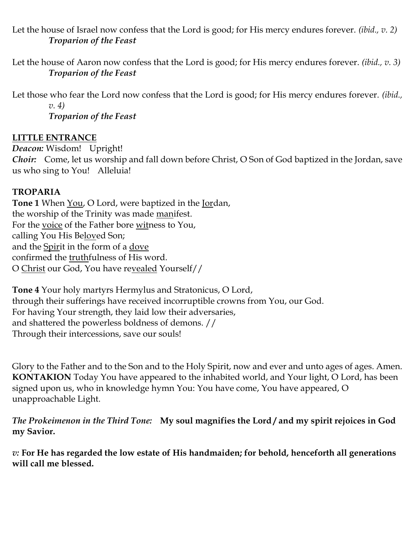Let the house of Israel now confess that the Lord is good; for His mercy endures forever. *(ibid., v. 2) Troparion of the Feast*

Let the house of Aaron now confess that the Lord is good; for His mercy endures forever. *(ibid., v. 3) Troparion of the Feast*

Let those who fear the Lord now confess that the Lord is good; for His mercy endures forever. *(ibid., v. 4)*

*Troparion of the Feast*

# **LITTLE ENTRANCE**

*Deacon:* Wisdom! Upright! *Choir:* Come, let us worship and fall down before Christ, O Son of God baptized in the Jordan, save us who sing to You! Alleluia!

# **TROPARIA**

**Tone 1** When You, O Lord, were baptized in the Jordan, the worship of the Trinity was made manifest. For the voice of the Father bore witness to You, calling You His Beloved Son; and the Spirit in the form of a dove confirmed the truthfulness of His word. O Christ our God, You have revealed Yourself//

**Tone 4** Your holy martyrs Hermylus and Stratonicus, O Lord, through their sufferings have received incorruptible crowns from You, our God. For having Your strength, they laid low their adversaries, and shattered the powerless boldness of demons. // Through their intercessions, save our souls!

Glory to the Father and to the Son and to the Holy Spirit, now and ever and unto ages of ages. Amen. **KONTAKION** Today You have appeared to the inhabited world, and Your light, O Lord, has been signed upon us, who in knowledge hymn You: You have come, You have appeared, O unapproachable Light.

*The Prokeimenon in the Third Tone:* **My soul magnifies the Lord / and my spirit rejoices in God my Savior.**

*v:* **For He has regarded the low estate of His handmaiden; for behold, henceforth all generations will call me blessed.**